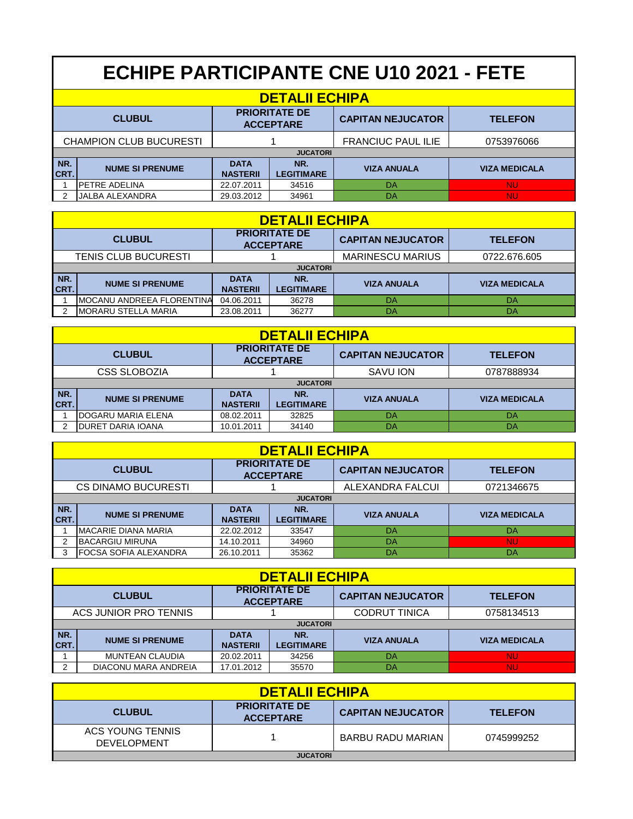|                                                           | <b>ECHIPE PARTICIPANTE CNE U10 2021 - FETE</b> |                                |                          |                           |                      |  |  |
|-----------------------------------------------------------|------------------------------------------------|--------------------------------|--------------------------|---------------------------|----------------------|--|--|
|                                                           | <b>DETALII ECHIPA</b>                          |                                |                          |                           |                      |  |  |
| <b>PRIORITATE DE</b><br><b>CLUBUL</b><br><b>ACCEPTARE</b> |                                                |                                |                          | <b>CAPITAN NEJUCATOR</b>  | <b>TELEFON</b>       |  |  |
|                                                           | <b>CHAMPION CLUB BUCURESTI</b>                 |                                |                          | <b>FRANCIUC PAUL ILIE</b> | 0753976066           |  |  |
|                                                           |                                                |                                | <b>JUCATORI</b>          |                           |                      |  |  |
| NR.<br>CRT.                                               | <b>NUME SI PRENUME</b>                         | <b>DATA</b><br><b>NASTERII</b> | NR.<br><b>LEGITIMARE</b> | <b>VIZA ANUALA</b>        | <b>VIZA MEDICALA</b> |  |  |
|                                                           | <b>PETRE ADELINA</b>                           | 22.07.2011                     | 34516                    | DA                        | <b>NU</b>            |  |  |
| 2                                                         | JALBA ALEXANDRA                                | 29.03.2012                     | 34961                    | DA                        | <b>NU</b>            |  |  |

|                                                           | <b>DETALII ECHIPA</b>       |                                |                          |                    |                      |  |  |  |
|-----------------------------------------------------------|-----------------------------|--------------------------------|--------------------------|--------------------|----------------------|--|--|--|
| <b>PRIORITATE DE</b><br><b>CLUBUL</b><br><b>ACCEPTARE</b> |                             |                                | <b>CAPITAN NEJUCATOR</b> | <b>TELEFON</b>     |                      |  |  |  |
|                                                           | <b>TENIS CLUB BUCURESTI</b> |                                | <b>MARINESCU MARIUS</b>  | 0722.676.605       |                      |  |  |  |
|                                                           | <b>JUCATORI</b>             |                                |                          |                    |                      |  |  |  |
| NR.<br>CRT.                                               | <b>NUME SI PRENUME</b>      | <b>DATA</b><br><b>NASTERII</b> | NR.<br><b>LEGITIMARE</b> | <b>VIZA ANUALA</b> | <b>VIZA MEDICALA</b> |  |  |  |
|                                                           | IMOCANU ANDREEA FLORENTINA  | 04.06.2011                     | 36278                    | DA                 | DA                   |  |  |  |
|                                                           | <b>IMORARU STELLA MARIA</b> | 23.08.2011                     | 36277                    | DA                 | DA                   |  |  |  |

|               | <b>DETALII ECHIPA</b>     |                                          |                          |                          |                      |  |  |  |
|---------------|---------------------------|------------------------------------------|--------------------------|--------------------------|----------------------|--|--|--|
| <b>CLUBUL</b> |                           | <b>PRIORITATE DE</b><br><b>ACCEPTARE</b> |                          | <b>CAPITAN NEJUCATOR</b> | <b>TELEFON</b>       |  |  |  |
|               | CSS SLOBOZIA              |                                          |                          | SAVU ION                 | 0787888934           |  |  |  |
|               | <b>JUCATORI</b>           |                                          |                          |                          |                      |  |  |  |
| NR.<br>CRT.   | <b>NUME SI PRENUME</b>    | <b>DATA</b><br><b>NASTERII</b>           | NR.<br><b>LEGITIMARE</b> | <b>VIZA ANUALA</b>       | <b>VIZA MEDICALA</b> |  |  |  |
|               | <b>DOGARU MARIA ELENA</b> | 08.02.2011                               | 32825                    | DA                       | DA                   |  |  |  |
|               | <b>DURET DARIA IOANA</b>  | 10.01.2011                               | 34140                    | DA                       | DA                   |  |  |  |

|                                                           | <b>DETALII ECHIPA</b>        |                                |                          |                    |                      |  |  |  |
|-----------------------------------------------------------|------------------------------|--------------------------------|--------------------------|--------------------|----------------------|--|--|--|
| <b>PRIORITATE DE</b><br><b>CLUBUL</b><br><b>ACCEPTARE</b> |                              |                                | <b>CAPITAN NEJUCATOR</b> | <b>TELEFON</b>     |                      |  |  |  |
|                                                           | <b>CS DINAMO BUCURESTI</b>   |                                | ALEXANDRA FALCUI         | 0721346675         |                      |  |  |  |
|                                                           | <b>JUCATORI</b>              |                                |                          |                    |                      |  |  |  |
| NR.<br>CRT.                                               | <b>NUME SI PRENUME</b>       | <b>DATA</b><br><b>NASTERII</b> | NR.<br><b>LEGITIMARE</b> | <b>VIZA ANUALA</b> | <b>VIZA MEDICALA</b> |  |  |  |
|                                                           | <b>MACARIE DIANA MARIA</b>   | 22.02.2012                     | 33547                    | DA                 | DA                   |  |  |  |
|                                                           | <b>BACARGIU MIRUNA</b>       | 14.10.2011                     | 34960                    | DA                 | <b>NU</b>            |  |  |  |
|                                                           | <b>FOCSA SOFIA ALEXANDRA</b> | 26.10.2011                     | 35362                    | DA                 | DA                   |  |  |  |

|                       | <b>DETALII ECHIPA</b>  |                                          |                          |                          |                      |  |  |  |
|-----------------------|------------------------|------------------------------------------|--------------------------|--------------------------|----------------------|--|--|--|
| <b>CLUBUL</b>         |                        | <b>PRIORITATE DE</b><br><b>ACCEPTARE</b> |                          | <b>CAPITAN NEJUCATOR</b> | <b>TELEFON</b>       |  |  |  |
| ACS JUNIOR PRO TENNIS |                        |                                          |                          | <b>CODRUT TINICA</b>     | 0758134513           |  |  |  |
|                       | <b>JUCATORI</b>        |                                          |                          |                          |                      |  |  |  |
| NR.<br>ICRT.          | <b>NUME SI PRENUME</b> | <b>DATA</b><br><b>NASTERII</b>           | NR.<br><b>LEGITIMARE</b> | <b>VIZA ANUALA</b>       | <b>VIZA MEDICALA</b> |  |  |  |
|                       | <b>MUNTEAN CLAUDIA</b> | 20.02.2011                               | 34256                    | DA                       | <b>NU</b>            |  |  |  |
| っ                     | DIACONU MARA ANDREIA   | 17.01.2012                               | 35570                    | DA                       | <b>NU</b>            |  |  |  |

| <b>DETALII ECHIPA</b>                  |                                          |                          |                |  |  |  |
|----------------------------------------|------------------------------------------|--------------------------|----------------|--|--|--|
| <b>CLUBUL</b>                          | <b>PRIORITATE DE</b><br><b>ACCEPTARE</b> | <b>CAPITAN NEJUCATOR</b> | <b>TELEFON</b> |  |  |  |
| ACS YOUNG TENNIS<br><b>DEVELOPMENT</b> |                                          | BARBU RADU MARIAN        | 0745999252     |  |  |  |
| <b>JUCATORI</b>                        |                                          |                          |                |  |  |  |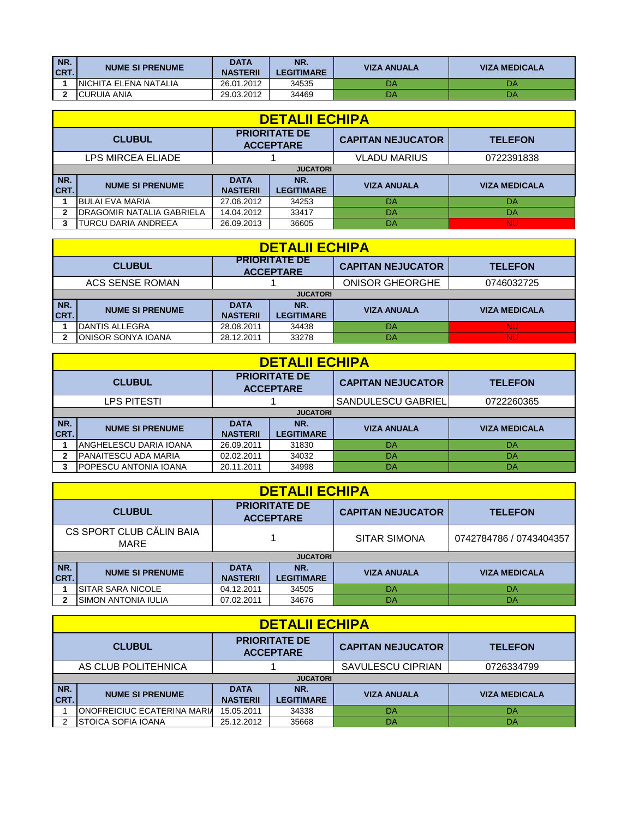| INR.<br>CRT. | <b>NUME SI PRENUME</b> | <b>DATA</b><br><b>NASTERII</b> | NR.<br><b>LEGITIMARE</b> | <b>VIZA ANUALA</b> | <b>VIZA MEDICALA</b> |
|--------------|------------------------|--------------------------------|--------------------------|--------------------|----------------------|
|              | INICHITA ELENA NATALIA | 26.01.2012                     | 34535                    | DA                 | DA                   |
|              | ICURUIA ANIA           | 29.03.2012                     | 34469                    | DA                 | DA                   |

|                                                           | <b>DETALII ECHIPA</b>            |                                |                          |                     |                      |  |  |  |
|-----------------------------------------------------------|----------------------------------|--------------------------------|--------------------------|---------------------|----------------------|--|--|--|
| <b>PRIORITATE DE</b><br><b>CLUBUL</b><br><b>ACCEPTARE</b> |                                  |                                | <b>CAPITAN NEJUCATOR</b> | <b>TELEFON</b>      |                      |  |  |  |
|                                                           | LPS MIRCEA ELIADE                |                                |                          | <b>VLADU MARIUS</b> | 0722391838           |  |  |  |
|                                                           | <b>JUCATORI</b>                  |                                |                          |                     |                      |  |  |  |
| NR.<br>CRT.                                               | <b>NUME SI PRENUME</b>           | <b>DATA</b><br><b>NASTERII</b> | NR.<br><b>LEGITIMARE</b> | <b>VIZA ANUALA</b>  | <b>VIZA MEDICALA</b> |  |  |  |
|                                                           | <b>BULAI EVA MARIA</b>           | 27.06.2012                     | 34253                    | DA                  | DA                   |  |  |  |
|                                                           | <b>DRAGOMIR NATALIA GABRIELA</b> | 14.04.2012                     | 33417                    | DA                  | DA                   |  |  |  |
|                                                           | <b>TURCU DARIA ANDREEA</b>       | 26.09.2013                     | 36605                    | DA                  | <b>NU</b>            |  |  |  |

| <b>DETALII ECHIPA</b> |                           |                                          |                          |                          |                      |  |  |  |  |
|-----------------------|---------------------------|------------------------------------------|--------------------------|--------------------------|----------------------|--|--|--|--|
|                       | <b>CLUBUL</b>             | <b>PRIORITATE DE</b><br><b>ACCEPTARE</b> |                          | <b>CAPITAN NEJUCATOR</b> | <b>TELEFON</b>       |  |  |  |  |
|                       | ACS SENSE ROMAN           |                                          |                          | <b>ONISOR GHEORGHE</b>   | 0746032725           |  |  |  |  |
|                       | <b>JUCATORI</b>           |                                          |                          |                          |                      |  |  |  |  |
| NR.<br>CRT.           | <b>NUME SI PRENUME</b>    | <b>DATA</b><br><b>NASTERII</b>           | NR.<br><b>LEGITIMARE</b> | <b>VIZA ANUALA</b>       | <b>VIZA MEDICALA</b> |  |  |  |  |
|                       | <b>IDANTIS ALLEGRA</b>    | 28.08.2011                               | 34438                    | DA                       | <b>NU</b>            |  |  |  |  |
|                       | <b>ONISOR SONYA IOANA</b> | 28.12.2011                               | 33278                    | DA                       | <b>NU</b>            |  |  |  |  |

|                                                           | <b>DETALII ECHIPA</b>        |                                |                          |                           |                      |  |  |  |
|-----------------------------------------------------------|------------------------------|--------------------------------|--------------------------|---------------------------|----------------------|--|--|--|
| <b>PRIORITATE DE</b><br><b>CLUBUL</b><br><b>ACCEPTARE</b> |                              | <b>CAPITAN NEJUCATOR</b>       | <b>TELEFON</b>           |                           |                      |  |  |  |
|                                                           | LPS PITESTI                  |                                |                          | <b>SANDULESCU GABRIEL</b> | 0722260365           |  |  |  |
|                                                           | <b>JUCATORI</b>              |                                |                          |                           |                      |  |  |  |
| NR.<br>CRT.                                               | <b>NUME SI PRENUME</b>       | <b>DATA</b><br><b>NASTERII</b> | NR.<br><b>LEGITIMARE</b> | <b>VIZA ANUALA</b>        | <b>VIZA MEDICALA</b> |  |  |  |
|                                                           | ANGHELESCU DARIA IOANA       | 26.09.2011                     | 31830                    | DA                        | DA                   |  |  |  |
|                                                           | <b>PANAITESCU ADA MARIA</b>  | 02.02.2011                     | 34032                    | DA                        | DA                   |  |  |  |
|                                                           | <b>POPESCU ANTONIA IOANA</b> | 20.11.2011                     | 34998                    | DA                        | DA                   |  |  |  |

|                                                           | <b>DETALII ECHIPA</b>      |                                |                          |                         |                      |  |  |  |
|-----------------------------------------------------------|----------------------------|--------------------------------|--------------------------|-------------------------|----------------------|--|--|--|
| <b>PRIORITATE DE</b><br><b>CLUBUL</b><br><b>ACCEPTARE</b> |                            | <b>CAPITAN NEJUCATOR</b>       | <b>TELEFON</b>           |                         |                      |  |  |  |
| CS SPORT CLUB CĂLIN BAIA<br>MARE                          |                            |                                | <b>SITAR SIMONA</b>      | 0742784786 / 0743404357 |                      |  |  |  |
|                                                           |                            |                                | <b>JUCATORI</b>          |                         |                      |  |  |  |
| NR.<br>ICRT.                                              | <b>NUME SI PRENUME</b>     | <b>DATA</b><br><b>NASTERII</b> | NR.<br><b>LEGITIMARE</b> | <b>VIZA ANUALA</b>      | <b>VIZA MEDICALA</b> |  |  |  |
|                                                           | <b>SITAR SARA NICOLE</b>   | 04.12.2011                     | 34505                    | DA                      | DA                   |  |  |  |
|                                                           | <b>SIMON ANTONIA IULIA</b> | 07.02.2011                     | 34676                    | DA                      | DA                   |  |  |  |

|                                                           | <b>DETALII ECHIPA</b>               |                          |                   |                          |                      |  |  |  |
|-----------------------------------------------------------|-------------------------------------|--------------------------|-------------------|--------------------------|----------------------|--|--|--|
| <b>PRIORITATE DE</b><br><b>CLUBUL</b><br><b>ACCEPTARE</b> |                                     | <b>CAPITAN NEJUCATOR</b> | <b>TELEFON</b>    |                          |                      |  |  |  |
|                                                           | AS CLUB POLITEHNICA                 |                          |                   | <b>SAVULESCU CIPRIAN</b> | 0726334799           |  |  |  |
|                                                           | <b>JUCATORI</b>                     |                          |                   |                          |                      |  |  |  |
| NR.                                                       | <b>NUME SI PRENUME</b>              | <b>DATA</b>              | NR.               | <b>VIZA ANUALA</b>       | <b>VIZA MEDICALA</b> |  |  |  |
| CRT.                                                      |                                     | <b>NASTERII</b>          | <b>LEGITIMARE</b> |                          |                      |  |  |  |
|                                                           | <b>IONOFREICIUC ECATERINA MARIA</b> | 15.05.2011               | 34338             | DA                       | DA                   |  |  |  |
|                                                           | ISTOICA SOFIA IOANA                 | 25.12.2012               | 35668             | DA                       | DA                   |  |  |  |